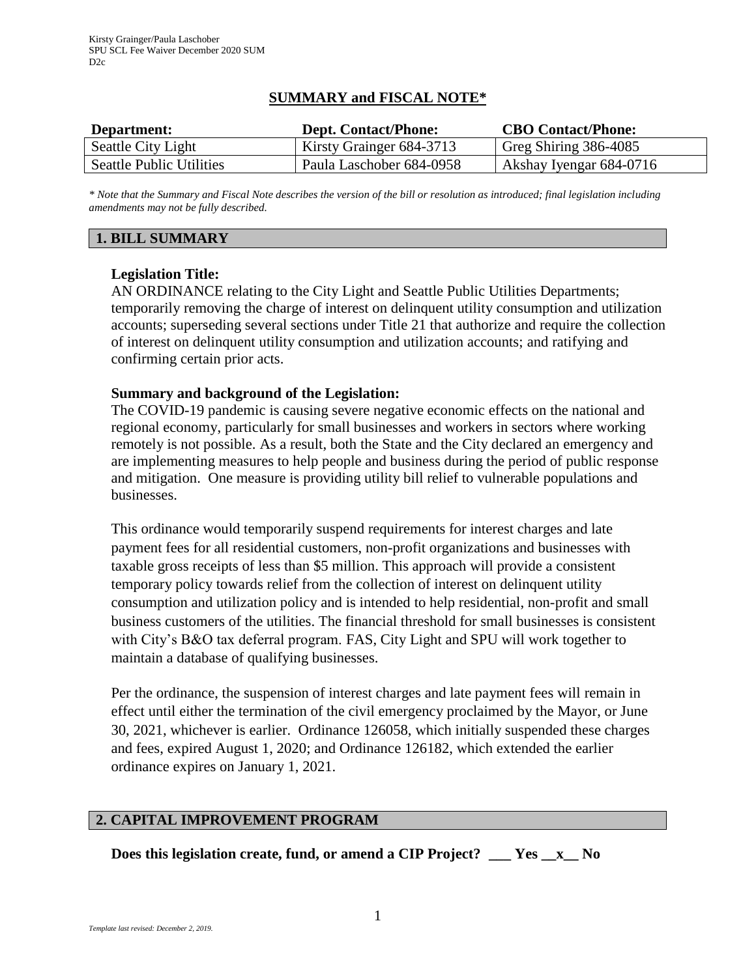## **SUMMARY and FISCAL NOTE\***

| Department:                     | <b>Dept. Contact/Phone:</b> | <b>CBO Contact/Phone:</b> |
|---------------------------------|-----------------------------|---------------------------|
| Seattle City Light              | Kirsty Grainger 684-3713    | Greg Shiring 386-4085     |
| <b>Seattle Public Utilities</b> | Paula Laschober 684-0958    | Akshay Iyengar 684-0716   |

*\* Note that the Summary and Fiscal Note describes the version of the bill or resolution as introduced; final legislation including amendments may not be fully described.*

## **1. BILL SUMMARY**

## **Legislation Title:**

AN ORDINANCE relating to the City Light and Seattle Public Utilities Departments; temporarily removing the charge of interest on delinquent utility consumption and utilization accounts; superseding several sections under Title 21 that authorize and require the collection of interest on delinquent utility consumption and utilization accounts; and ratifying and confirming certain prior acts.

## **Summary and background of the Legislation:**

The COVID-19 pandemic is causing severe negative economic effects on the national and regional economy, particularly for small businesses and workers in sectors where working remotely is not possible. As a result, both the State and the City declared an emergency and are implementing measures to help people and business during the period of public response and mitigation. One measure is providing utility bill relief to vulnerable populations and businesses.

This ordinance would temporarily suspend requirements for interest charges and late payment fees for all residential customers, non-profit organizations and businesses with taxable gross receipts of less than \$5 million. This approach will provide a consistent temporary policy towards relief from the collection of interest on delinquent utility consumption and utilization policy and is intended to help residential, non-profit and small business customers of the utilities. The financial threshold for small businesses is consistent with City's B&O tax deferral program. FAS, City Light and SPU will work together to maintain a database of qualifying businesses.

Per the ordinance, the suspension of interest charges and late payment fees will remain in effect until either the termination of the civil emergency proclaimed by the Mayor, or June 30, 2021, whichever is earlier. Ordinance 126058, which initially suspended these charges and fees, expired August 1, 2020; and Ordinance 126182, which extended the earlier ordinance expires on January 1, 2021.

# **2. CAPITAL IMPROVEMENT PROGRAM**

**Does this legislation create, fund, or amend a CIP Project? \_\_\_ Yes \_\_x\_\_ No**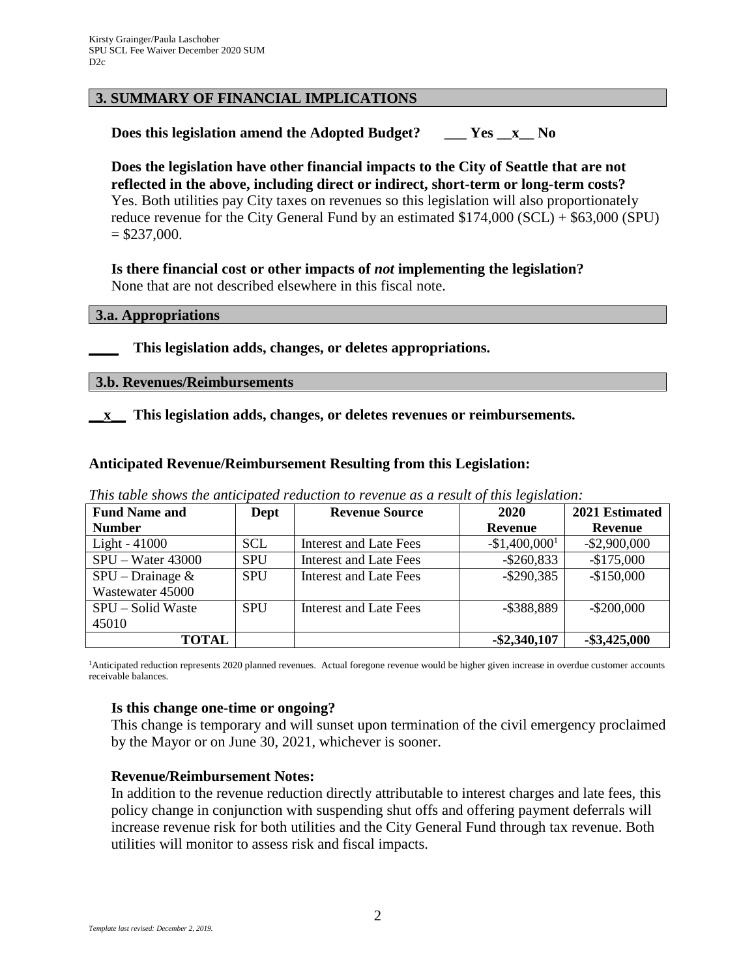## **3. SUMMARY OF FINANCIAL IMPLICATIONS**

**Does this legislation amend the Adopted Budget? \_\_\_ Yes \_\_x\_\_ No**

**Does the legislation have other financial impacts to the City of Seattle that are not reflected in the above, including direct or indirect, short-term or long-term costs?** Yes. Both utilities pay City taxes on revenues so this legislation will also proportionately reduce revenue for the City General Fund by an estimated \$174,000 (SCL) + \$63,000 (SPU)  $=$  \$237,000.

**Is there financial cost or other impacts of** *not* **implementing the legislation?** None that are not described elsewhere in this fiscal note.

#### **3.a. Appropriations**

**\_\_\_\_ This legislation adds, changes, or deletes appropriations.**

**3.b. Revenues/Reimbursements**

**\_\_x\_\_ This legislation adds, changes, or deletes revenues or reimbursements.**

|  | <b>Anticipated Revenue/Reimbursement Resulting from this Legislation:</b> |  |
|--|---------------------------------------------------------------------------|--|
|  |                                                                           |  |

| <b>Fund Name and</b> | Dept       | <b>Revenue Source</b>         | 2020            | 2021 Estimated  |
|----------------------|------------|-------------------------------|-----------------|-----------------|
| <b>Number</b>        |            |                               | <b>Revenue</b>  | Revenue         |
| Light - $41000$      | <b>SCL</b> | Interest and Late Fees        | $-$1,400,0001$  | $-$ \$2,900,000 |
| $SPU - Water 43000$  | <b>SPU</b> | <b>Interest and Late Fees</b> | $-$ \$260,833   | $-$175,000$     |
| $SPU$ – Drainage &   | <b>SPU</b> | Interest and Late Fees        | $-$ \$290,385   | $-$150,000$     |
| Wastewater 45000     |            |                               |                 |                 |
| SPU – Solid Waste    | <b>SPU</b> | Interest and Late Fees        | -\$388,889      | $-$ \$200,000   |
| 45010                |            |                               |                 |                 |
| <b>TOTAL</b>         |            |                               | $-$ \$2,340,107 | $-$ \$3,425,000 |

*This table shows the anticipated reduction to revenue as a result of this legislation:* 

<sup>1</sup>Anticipated reduction represents 2020 planned revenues. Actual foregone revenue would be higher given increase in overdue customer accounts receivable balances.

### **Is this change one-time or ongoing?**

This change is temporary and will sunset upon termination of the civil emergency proclaimed by the Mayor or on June 30, 2021, whichever is sooner.

### **Revenue/Reimbursement Notes:**

In addition to the revenue reduction directly attributable to interest charges and late fees, this policy change in conjunction with suspending shut offs and offering payment deferrals will increase revenue risk for both utilities and the City General Fund through tax revenue. Both utilities will monitor to assess risk and fiscal impacts.